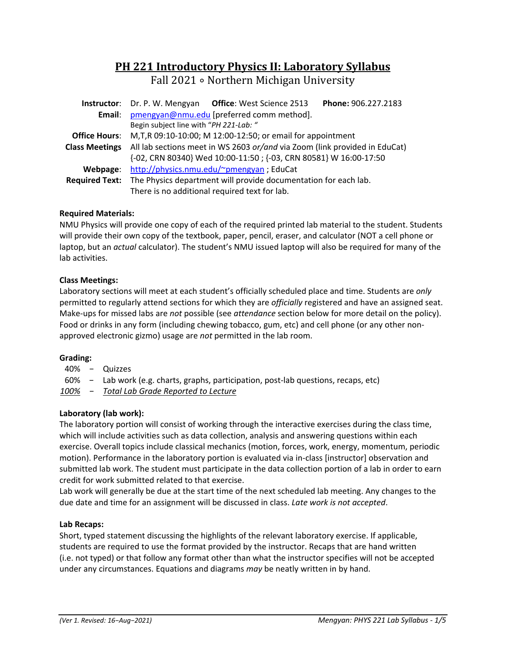# **PH 221 Introductory Physics II: Laboratory Syllabus** Fall 2021 ∘ Northern Michigan University

|                       | Phone: 906.227.2183<br><b>Instructor:</b> Dr. P. W. Mengyan Office: West Science 2513 |  |  |  |  |  |  |  |
|-----------------------|---------------------------------------------------------------------------------------|--|--|--|--|--|--|--|
| Email:                | pmengyan@nmu.edu [preferred comm method].                                             |  |  |  |  |  |  |  |
|                       | Begin subject line with "PH 221-Lab: "                                                |  |  |  |  |  |  |  |
| <b>Office Hours:</b>  | M, T, R 09:10-10:00; M 12:00-12:50; or email for appointment                          |  |  |  |  |  |  |  |
| <b>Class Meetings</b> | All lab sections meet in WS 2603 or/and via Zoom (link provided in EduCat)            |  |  |  |  |  |  |  |
|                       | {-02, CRN 80340} Wed 10:00-11:50 ; {-03, CRN 80581} W 16:00-17:50                     |  |  |  |  |  |  |  |
| Webpage:              | http://physics.nmu.edu/~pmengyan; EduCat                                              |  |  |  |  |  |  |  |
| <b>Required Text:</b> | The Physics department will provide documentation for each lab.                       |  |  |  |  |  |  |  |
|                       | There is no additional required text for lab.                                         |  |  |  |  |  |  |  |

# **Required Materials:**

NMU Physics will provide one copy of each of the required printed lab material to the student. Students will provide their own copy of the textbook, paper, pencil, eraser, and calculator (NOT a cell phone or laptop, but an *actual* calculator). The student's NMU issued laptop will also be required for many of the lab activities.

# **Class Meetings:**

Laboratory sections will meet at each student's officially scheduled place and time. Students are *only* permitted to regularly attend sections for which they are *officially* registered and have an assigned seat. Make‐ups for missed labs are *not* possible (see *attendance* section below for more detail on the policy). Food or drinks in any form (including chewing tobacco, gum, etc) and cell phone (or any other non‐ approved electronic gizmo) usage are *not* permitted in the lab room.

## **Grading:**

- 40% − Quizzes
- 60% − Lab work (e.g. charts, graphs, participation, post‐lab questions, recaps, etc)

*100% − Total Lab Grade Reported to Lecture* 

# **Laboratory (lab work):**

The laboratory portion will consist of working through the interactive exercises during the class time, which will include activities such as data collection, analysis and answering questions within each exercise. Overall topics include classical mechanics (motion, forces, work, energy, momentum, periodic motion). Performance in the laboratory portion is evaluated via in‐class [instructor] observation and submitted lab work. The student must participate in the data collection portion of a lab in order to earn credit for work submitted related to that exercise.

Lab work will generally be due at the start time of the next scheduled lab meeting. Any changes to the due date and time for an assignment will be discussed in class. *Late work is not accepted*.

## **Lab Recaps:**

Short, typed statement discussing the highlights of the relevant laboratory exercise. If applicable, students are required to use the format provided by the instructor. Recaps that are hand written (i.e. not typed) or that follow any format other than what the instructor specifies will not be accepted under any circumstances. Equations and diagrams *may* be neatly written in by hand.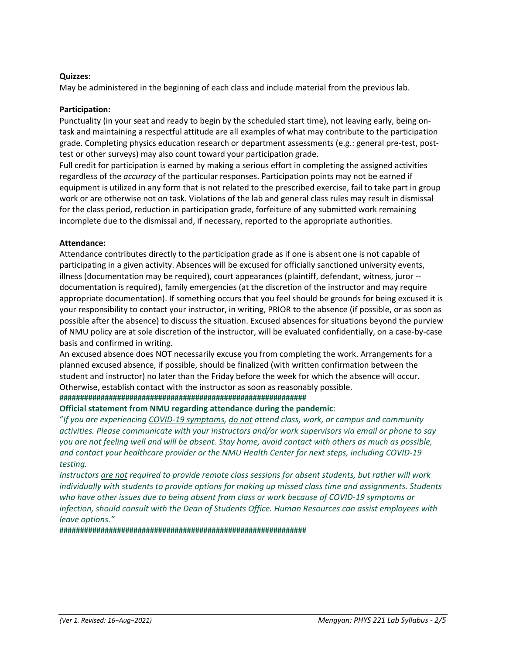# **Quizzes:**

May be administered in the beginning of each class and include material from the previous lab.

## **Participation:**

Punctuality (in your seat and ready to begin by the scheduled start time), not leaving early, being on‐ task and maintaining a respectful attitude are all examples of what may contribute to the participation grade. Completing physics education research or department assessments (e.g.: general pre-test, posttest or other surveys) may also count toward your participation grade.

Full credit for participation is earned by making a serious effort in completing the assigned activities regardless of the *accuracy* of the particular responses. Participation points may not be earned if equipment is utilized in any form that is not related to the prescribed exercise, fail to take part in group work or are otherwise not on task. Violations of the lab and general class rules may result in dismissal for the class period, reduction in participation grade, forfeiture of any submitted work remaining incomplete due to the dismissal and, if necessary, reported to the appropriate authorities.

## **Attendance:**

Attendance contributes directly to the participation grade as if one is absent one is not capable of participating in a given activity. Absences will be excused for officially sanctioned university events, illness (documentation may be required), court appearances (plaintiff, defendant, witness, juror ‐‐ documentation is required), family emergencies (at the discretion of the instructor and may require appropriate documentation). If something occurs that you feel should be grounds for being excused it is your responsibility to contact your instructor, in writing, PRIOR to the absence (if possible, or as soon as possible after the absence) to discuss the situation. Excused absences for situations beyond the purview of NMU policy are at sole discretion of the instructor, will be evaluated confidentially, on a case‐by‐case basis and confirmed in writing.

An excused absence does NOT necessarily excuse you from completing the work. Arrangements for a planned excused absence, if possible, should be finalized (with written confirmation between the student and instructor) no later than the Friday before the week for which the absence will occur. Otherwise, establish contact with the instructor as soon as reasonably possible.

#### **############################################################**

#### **Official statement from NMU regarding attendance during the pandemic**:

"*If you are experiencing COVID‐19 symptoms, do not attend class, work, or campus and community activities. Please communicate with your instructors and/or work supervisors via email or phone to say you are not feeling well and will be absent. Stay home, avoid contact with others as much as possible, and contact your healthcare provider or the NMU Health Center for next steps, including COVID‐19 testing.* 

*Instructors are not required to provide remote class sessions for absent students, but rather will work individually with students to provide options for making up missed class time and assignments. Students who have other issues due to being absent from class or work because of COVID‐19 symptoms or infection, should consult with the Dean of Students Office. Human Resources can assist employees with leave options."* 

**############################################################**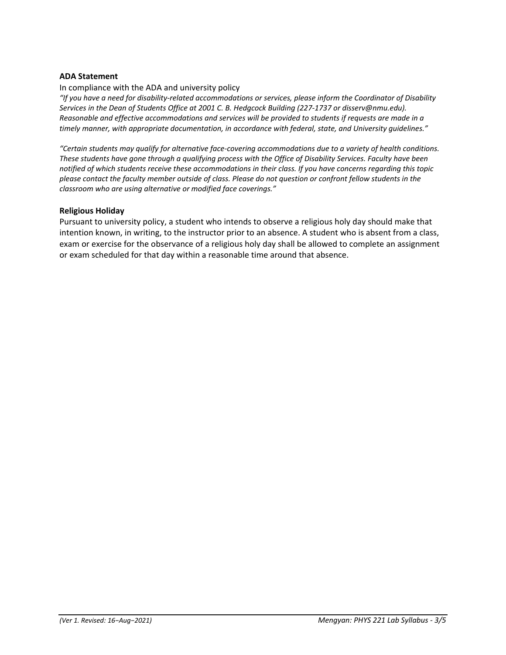#### **ADA Statement**

#### In compliance with the ADA and university policy

*"If you have a need for disability‐related accommodations or services, please inform the Coordinator of Disability Services in the Dean of Students Office at 2001 C. B. Hedgcock Building (227‐1737 or disserv@nmu.edu). Reasonable and effective accommodations and services will be provided to students if requests are made in a timely manner, with appropriate documentation, in accordance with federal, state, and University guidelines."* 

*"Certain students may qualify for alternative face‐covering accommodations due to a variety of health conditions. These students have gone through a qualifying process with the Office of Disability Services. Faculty have been notified of which students receive these accommodations in their class. If you have concerns regarding this topic please contact the faculty member outside of class. Please do not question or confront fellow students in the classroom who are using alternative or modified face coverings."*

#### **Religious Holiday**

Pursuant to university policy, a student who intends to observe a religious holy day should make that intention known, in writing, to the instructor prior to an absence. A student who is absent from a class, exam or exercise for the observance of a religious holy day shall be allowed to complete an assignment or exam scheduled for that day within a reasonable time around that absence.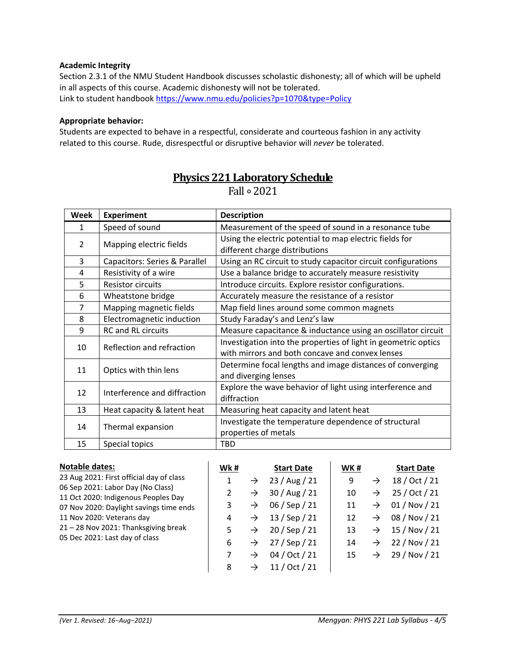# **Academic Integrity**

Section 2.3.1 of the NMU Student Handbook discusses scholastic dishonesty; all of which will be upheld in all aspects of this course. Academic dishonesty will not be tolerated. Link to student handbook https://www.nmu.edu/policies?p=1070&type=Policy

# **Appropriate behavior:**

Students are expected to behave in a respectful, considerate and courteous fashion in any activity related to this course. Rude, disrespectful or disruptive behavior will *never* be tolerated.

| <b>Week</b>    | <b>Experiment</b>                                                                         | <b>Description</b>                                                                                                |  |  |  |  |
|----------------|-------------------------------------------------------------------------------------------|-------------------------------------------------------------------------------------------------------------------|--|--|--|--|
| 1              | Speed of sound                                                                            | Measurement of the speed of sound in a resonance tube                                                             |  |  |  |  |
| $\overline{2}$ | Mapping electric fields                                                                   | Using the electric potential to map electric fields for<br>different charge distributions                         |  |  |  |  |
| 3              | Capacitors: Series & Parallel                                                             | Using an RC circuit to study capacitor circuit configurations                                                     |  |  |  |  |
| 4              | Use a balance bridge to accurately measure resistivity<br>Resistivity of a wire           |                                                                                                                   |  |  |  |  |
| 5              | Introduce circuits. Explore resistor configurations.<br><b>Resistor circuits</b>          |                                                                                                                   |  |  |  |  |
| 6              | Accurately measure the resistance of a resistor<br>Wheatstone bridge                      |                                                                                                                   |  |  |  |  |
| 7              | Mapping magnetic fields<br>Map field lines around some common magnets                     |                                                                                                                   |  |  |  |  |
| 8              | Electromagnetic induction                                                                 | Study Faraday's and Lenz's law                                                                                    |  |  |  |  |
| 9              | <b>RC and RL circuits</b><br>Measure capacitance & inductance using an oscillator circuit |                                                                                                                   |  |  |  |  |
| 10             | Reflection and refraction                                                                 | Investigation into the properties of light in geometric optics<br>with mirrors and both concave and convex lenses |  |  |  |  |
| 11             | Optics with thin lens                                                                     | Determine focal lengths and image distances of converging<br>and diverging lenses                                 |  |  |  |  |
| 12             | Interference and diffraction                                                              | Explore the wave behavior of light using interference and<br>diffraction                                          |  |  |  |  |
| 13             | Heat capacity & latent heat                                                               | Measuring heat capacity and latent heat                                                                           |  |  |  |  |
| 14             | Thermal expansion                                                                         | Investigate the temperature dependence of structural<br>properties of metals                                      |  |  |  |  |
| 15             | Special topics                                                                            | TBD                                                                                                               |  |  |  |  |

# **Physics 221 Laboratory Schedule** Fall ∘ 2021

| <b>Notable dates:</b>                                                    | Wk# |               | <b>Start Date</b> | WK# |               | <b>Start Date</b> |
|--------------------------------------------------------------------------|-----|---------------|-------------------|-----|---------------|-------------------|
| 23 Aug 2021: First official day of class                                 |     | $\rightarrow$ | 23 / Aug / 21     | 9   | $\rightarrow$ | 18 / Oct / 21     |
| 06 Sep 2021: Labor Day (No Class)<br>11 Oct 2020: Indigenous Peoples Day |     | $\rightarrow$ | 30 / Aug / 21     | 10  | $\rightarrow$ | 25 / Oct / 21     |
| 07 Nov 2020: Daylight savings time ends                                  |     | $\rightarrow$ | 06 / Sep / 21     | 11  | $\rightarrow$ | 01 / Nov / 21     |
| 11 Nov 2020: Veterans day                                                | 4   | $\rightarrow$ | $13/$ Sep $/$ 21  | 12  | $\rightarrow$ | 08 / Nov / 21     |
| 21 - 28 Nov 2021: Thanksgiving break                                     |     | $\rightarrow$ | 20 / Sep / 21     | 13  | $\rightarrow$ | 15 / Nov / 21     |
| 05 Dec 2021: Last day of class                                           | 6   | $\rightarrow$ | 27 / Sep / 21     | 14  | $\rightarrow$ | 22 / Nov / 21     |
|                                                                          |     | $\rightarrow$ | 04 / Oct / 21     | 15  | $\rightarrow$ | 29 / Nov / 21     |
|                                                                          | 8   | $\rightarrow$ | 11 / Oct / 21     |     |               |                   |

 $\mathbf{r}$